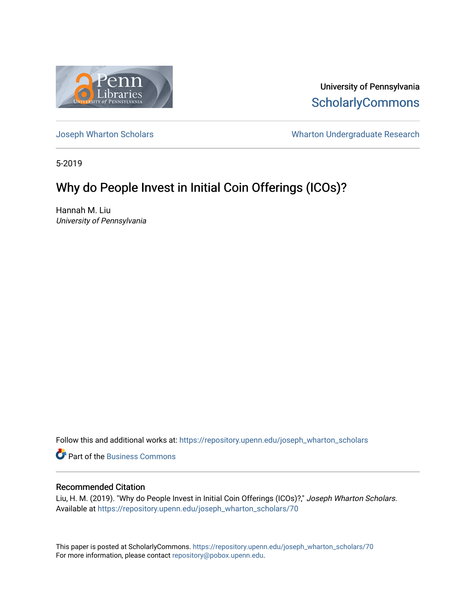

University of Pennsylvania **ScholarlyCommons** 

[Joseph Wharton Scholars](https://repository.upenn.edu/joseph_wharton_scholars) **Wharton Undergraduate Research** 

5-2019

# Why do People Invest in Initial Coin Offerings (ICOs)?

Hannah M. Liu University of Pennsylvania

Follow this and additional works at: [https://repository.upenn.edu/joseph\\_wharton\\_scholars](https://repository.upenn.edu/joseph_wharton_scholars?utm_source=repository.upenn.edu%2Fjoseph_wharton_scholars%2F70&utm_medium=PDF&utm_campaign=PDFCoverPages) 

**C** Part of the [Business Commons](http://network.bepress.com/hgg/discipline/622?utm_source=repository.upenn.edu%2Fjoseph_wharton_scholars%2F70&utm_medium=PDF&utm_campaign=PDFCoverPages)

## Recommended Citation

Liu, H. M. (2019). "Why do People Invest in Initial Coin Offerings (ICOs)?," Joseph Wharton Scholars. Available at [https://repository.upenn.edu/joseph\\_wharton\\_scholars/70](https://repository.upenn.edu/joseph_wharton_scholars/70?utm_source=repository.upenn.edu%2Fjoseph_wharton_scholars%2F70&utm_medium=PDF&utm_campaign=PDFCoverPages) 

This paper is posted at ScholarlyCommons. [https://repository.upenn.edu/joseph\\_wharton\\_scholars/70](https://repository.upenn.edu/joseph_wharton_scholars/70)  For more information, please contact [repository@pobox.upenn.edu.](mailto:repository@pobox.upenn.edu)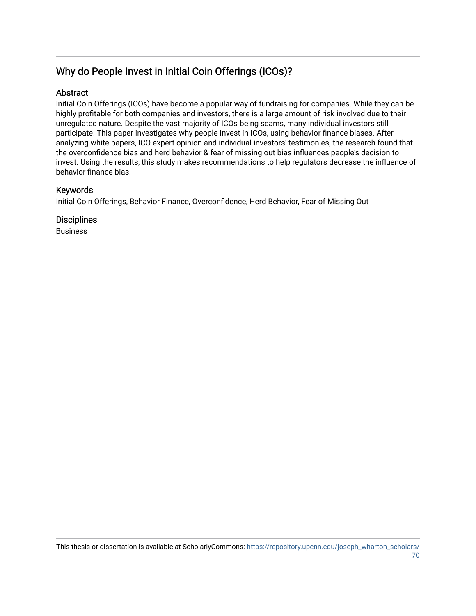# Why do People Invest in Initial Coin Offerings (ICOs)?

## Abstract

Initial Coin Offerings (ICOs) have become a popular way of fundraising for companies. While they can be highly profitable for both companies and investors, there is a large amount of risk involved due to their unregulated nature. Despite the vast majority of ICOs being scams, many individual investors still participate. This paper investigates why people invest in ICOs, using behavior finance biases. After analyzing white papers, ICO expert opinion and individual investors' testimonies, the research found that the overconfidence bias and herd behavior & fear of missing out bias influences people's decision to invest. Using the results, this study makes recommendations to help regulators decrease the influence of behavior finance bias.

## Keywords

Initial Coin Offerings, Behavior Finance, Overconfidence, Herd Behavior, Fear of Missing Out

**Disciplines** 

Business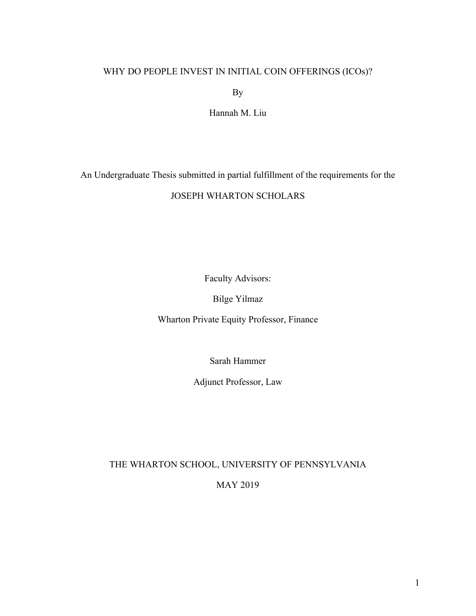# WHY DO PEOPLE INVEST IN INITIAL COIN OFFERINGS (ICOs)?

By

Hannah M. Liu

An Undergraduate Thesis submitted in partial fulfillment of the requirements for the

# JOSEPH WHARTON SCHOLARS

Faculty Advisors:

Bilge Yilmaz

Wharton Private Equity Professor, Finance

Sarah Hammer

Adjunct Professor, Law

THE WHARTON SCHOOL, UNIVERSITY OF PENNSYLVANIA

MAY 2019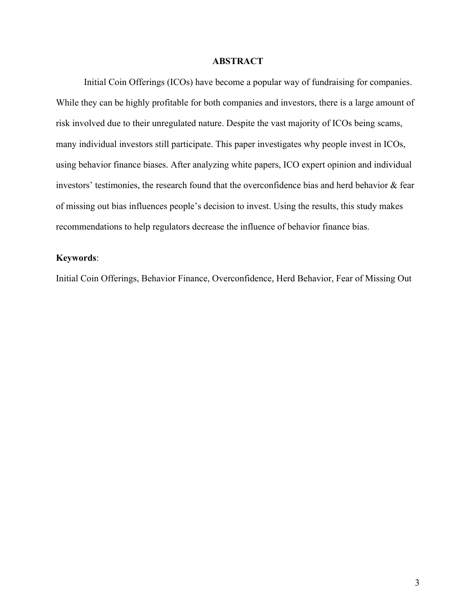## **ABSTRACT**

Initial Coin Offerings (ICOs) have become a popular way of fundraising for companies. While they can be highly profitable for both companies and investors, there is a large amount of risk involved due to their unregulated nature. Despite the vast majority of ICOs being scams, many individual investors still participate. This paper investigates why people invest in ICOs, using behavior finance biases. After analyzing white papers, ICO expert opinion and individual investors' testimonies, the research found that the overconfidence bias and herd behavior & fear of missing out bias influences people's decision to invest. Using the results, this study makes recommendations to help regulators decrease the influence of behavior finance bias.

## **Keywords**:

Initial Coin Offerings, Behavior Finance, Overconfidence, Herd Behavior, Fear of Missing Out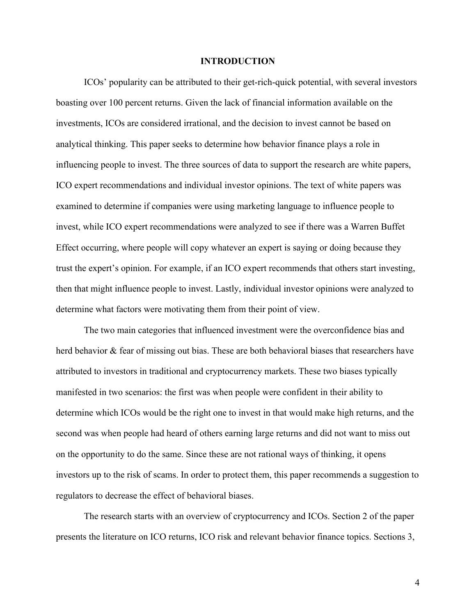## **INTRODUCTION**

ICOs' popularity can be attributed to their get-rich-quick potential, with several investors boasting over 100 percent returns. Given the lack of financial information available on the investments, ICOs are considered irrational, and the decision to invest cannot be based on analytical thinking. This paper seeks to determine how behavior finance plays a role in influencing people to invest. The three sources of data to support the research are white papers, ICO expert recommendations and individual investor opinions. The text of white papers was examined to determine if companies were using marketing language to influence people to invest, while ICO expert recommendations were analyzed to see if there was a Warren Buffet Effect occurring, where people will copy whatever an expert is saying or doing because they trust the expert's opinion. For example, if an ICO expert recommends that others start investing, then that might influence people to invest. Lastly, individual investor opinions were analyzed to determine what factors were motivating them from their point of view.

The two main categories that influenced investment were the overconfidence bias and herd behavior & fear of missing out bias. These are both behavioral biases that researchers have attributed to investors in traditional and cryptocurrency markets. These two biases typically manifested in two scenarios: the first was when people were confident in their ability to determine which ICOs would be the right one to invest in that would make high returns, and the second was when people had heard of others earning large returns and did not want to miss out on the opportunity to do the same. Since these are not rational ways of thinking, it opens investors up to the risk of scams. In order to protect them, this paper recommends a suggestion to regulators to decrease the effect of behavioral biases.

The research starts with an overview of cryptocurrency and ICOs. Section 2 of the paper presents the literature on ICO returns, ICO risk and relevant behavior finance topics. Sections 3,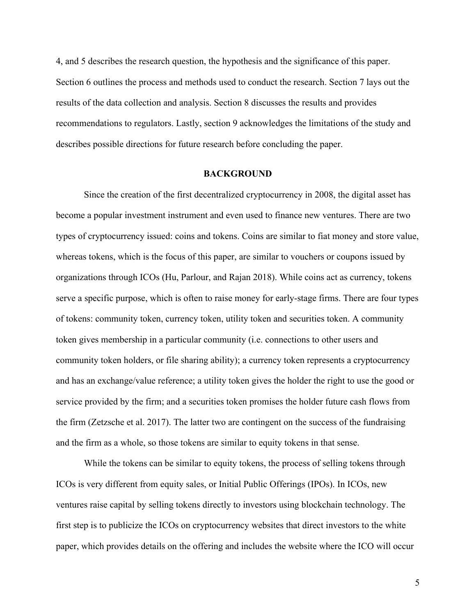4, and 5 describes the research question, the hypothesis and the significance of this paper. Section 6 outlines the process and methods used to conduct the research. Section 7 lays out the results of the data collection and analysis. Section 8 discusses the results and provides recommendations to regulators. Lastly, section 9 acknowledges the limitations of the study and describes possible directions for future research before concluding the paper.

#### **BACKGROUND**

Since the creation of the first decentralized cryptocurrency in 2008, the digital asset has become a popular investment instrument and even used to finance new ventures. There are two types of cryptocurrency issued: coins and tokens. Coins are similar to fiat money and store value, whereas tokens, which is the focus of this paper, are similar to vouchers or coupons issued by organizations through ICOs (Hu, Parlour, and Rajan 2018). While coins act as currency, tokens serve a specific purpose, which is often to raise money for early-stage firms. There are four types of tokens: community token, currency token, utility token and securities token. A community token gives membership in a particular community (i.e. connections to other users and community token holders, or file sharing ability); a currency token represents a cryptocurrency and has an exchange/value reference; a utility token gives the holder the right to use the good or service provided by the firm; and a securities token promises the holder future cash flows from the firm (Zetzsche et al. 2017). The latter two are contingent on the success of the fundraising and the firm as a whole, so those tokens are similar to equity tokens in that sense.

While the tokens can be similar to equity tokens, the process of selling tokens through ICOs is very different from equity sales, or Initial Public Offerings (IPOs). In ICOs, new ventures raise capital by selling tokens directly to investors using blockchain technology. The first step is to publicize the ICOs on cryptocurrency websites that direct investors to the white paper, which provides details on the offering and includes the website where the ICO will occur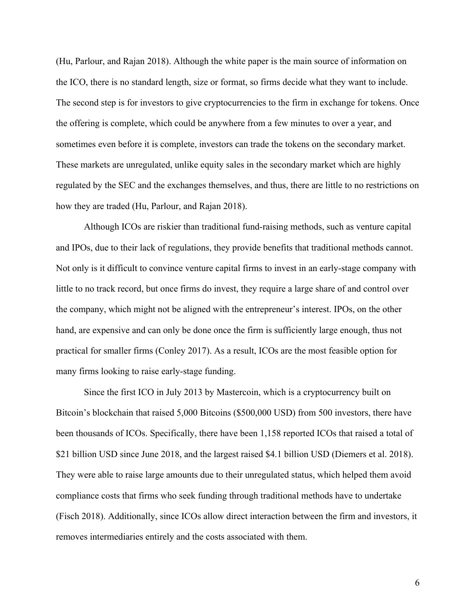(Hu, Parlour, and Rajan 2018). Although the white paper is the main source of information on the ICO, there is no standard length, size or format, so firms decide what they want to include. The second step is for investors to give cryptocurrencies to the firm in exchange for tokens. Once the offering is complete, which could be anywhere from a few minutes to over a year, and sometimes even before it is complete, investors can trade the tokens on the secondary market. These markets are unregulated, unlike equity sales in the secondary market which are highly regulated by the SEC and the exchanges themselves, and thus, there are little to no restrictions on how they are traded (Hu, Parlour, and Rajan 2018).

Although ICOs are riskier than traditional fund-raising methods, such as venture capital and IPOs, due to their lack of regulations, they provide benefits that traditional methods cannot. Not only is it difficult to convince venture capital firms to invest in an early-stage company with little to no track record, but once firms do invest, they require a large share of and control over the company, which might not be aligned with the entrepreneur's interest. IPOs, on the other hand, are expensive and can only be done once the firm is sufficiently large enough, thus not practical for smaller firms (Conley 2017). As a result, ICOs are the most feasible option for many firms looking to raise early-stage funding.

Since the first ICO in July 2013 by Mastercoin, which is a cryptocurrency built on Bitcoin's blockchain that raised 5,000 Bitcoins (\$500,000 USD) from 500 investors, there have been thousands of ICOs. Specifically, there have been 1,158 reported ICOs that raised a total of \$21 billion USD since June 2018, and the largest raised \$4.1 billion USD (Diemers et al. 2018). They were able to raise large amounts due to their unregulated status, which helped them avoid compliance costs that firms who seek funding through traditional methods have to undertake (Fisch 2018). Additionally, since ICOs allow direct interaction between the firm and investors, it removes intermediaries entirely and the costs associated with them.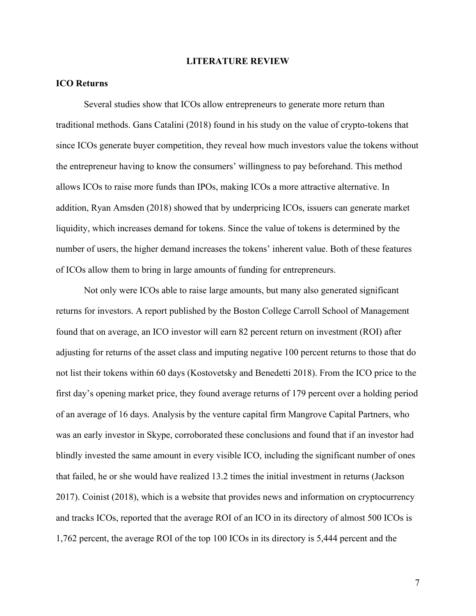## **LITERATURE REVIEW**

## **ICO Returns**

Several studies show that ICOs allow entrepreneurs to generate more return than traditional methods. Gans Catalini (2018) found in his study on the value of crypto-tokens that since ICOs generate buyer competition, they reveal how much investors value the tokens without the entrepreneur having to know the consumers' willingness to pay beforehand. This method allows ICOs to raise more funds than IPOs, making ICOs a more attractive alternative. In addition, Ryan Amsden (2018) showed that by underpricing ICOs, issuers can generate market liquidity, which increases demand for tokens. Since the value of tokens is determined by the number of users, the higher demand increases the tokens' inherent value. Both of these features of ICOs allow them to bring in large amounts of funding for entrepreneurs.

Not only were ICOs able to raise large amounts, but many also generated significant returns for investors. A report published by the Boston College Carroll School of Management found that on average, an ICO investor will earn 82 percent return on investment (ROI) after adjusting for returns of the asset class and imputing negative 100 percent returns to those that do not list their tokens within 60 days (Kostovetsky and Benedetti 2018). From the ICO price to the first day's opening market price, they found average returns of 179 percent over a holding period of an average of 16 days. Analysis by the venture capital firm Mangrove Capital Partners, who was an early investor in Skype, corroborated these conclusions and found that if an investor had blindly invested the same amount in every visible ICO, including the significant number of ones that failed, he or she would have realized 13.2 times the initial investment in returns (Jackson 2017). Coinist (2018), which is a website that provides news and information on cryptocurrency and tracks ICOs, reported that the average ROI of an ICO in its directory of almost 500 ICOs is 1,762 percent, the average ROI of the top 100 ICOs in its directory is 5,444 percent and the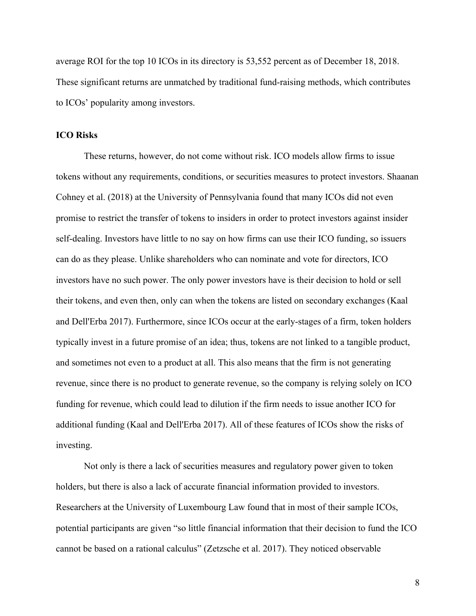average ROI for the top 10 ICOs in its directory is 53,552 percent as of December 18, 2018. These significant returns are unmatched by traditional fund-raising methods, which contributes to ICOs' popularity among investors.

### **ICO Risks**

These returns, however, do not come without risk. ICO models allow firms to issue tokens without any requirements, conditions, or securities measures to protect investors. Shaanan Cohney et al. (2018) at the University of Pennsylvania found that many ICOs did not even promise to restrict the transfer of tokens to insiders in order to protect investors against insider self-dealing. Investors have little to no say on how firms can use their ICO funding, so issuers can do as they please. Unlike shareholders who can nominate and vote for directors, ICO investors have no such power. The only power investors have is their decision to hold or sell their tokens, and even then, only can when the tokens are listed on secondary exchanges (Kaal and Dell'Erba 2017). Furthermore, since ICOs occur at the early-stages of a firm, token holders typically invest in a future promise of an idea; thus, tokens are not linked to a tangible product, and sometimes not even to a product at all. This also means that the firm is not generating revenue, since there is no product to generate revenue, so the company is relying solely on ICO funding for revenue, which could lead to dilution if the firm needs to issue another ICO for additional funding (Kaal and Dell'Erba 2017). All of these features of ICOs show the risks of investing.

Not only is there a lack of securities measures and regulatory power given to token holders, but there is also a lack of accurate financial information provided to investors. Researchers at the University of Luxembourg Law found that in most of their sample ICOs, potential participants are given "so little financial information that their decision to fund the ICO cannot be based on a rational calculus" (Zetzsche et al. 2017). They noticed observable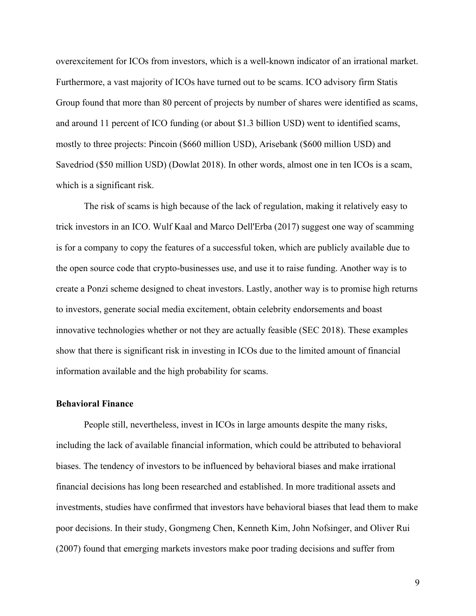overexcitement for ICOs from investors, which is a well-known indicator of an irrational market. Furthermore, a vast majority of ICOs have turned out to be scams. ICO advisory firm Statis Group found that more than 80 percent of projects by number of shares were identified as scams, and around 11 percent of ICO funding (or about \$1.3 billion USD) went to identified scams, mostly to three projects: Pincoin (\$660 million USD), Arisebank (\$600 million USD) and Savedriod (\$50 million USD) (Dowlat 2018). In other words, almost one in ten ICOs is a scam, which is a significant risk.

The risk of scams is high because of the lack of regulation, making it relatively easy to trick investors in an ICO. Wulf Kaal and Marco Dell'Erba (2017) suggest one way of scamming is for a company to copy the features of a successful token, which are publicly available due to the open source code that crypto-businesses use, and use it to raise funding. Another way is to create a Ponzi scheme designed to cheat investors. Lastly, another way is to promise high returns to investors, generate social media excitement, obtain celebrity endorsements and boast innovative technologies whether or not they are actually feasible (SEC 2018). These examples show that there is significant risk in investing in ICOs due to the limited amount of financial information available and the high probability for scams.

### **Behavioral Finance**

People still, nevertheless, invest in ICOs in large amounts despite the many risks, including the lack of available financial information, which could be attributed to behavioral biases. The tendency of investors to be influenced by behavioral biases and make irrational financial decisions has long been researched and established. In more traditional assets and investments, studies have confirmed that investors have behavioral biases that lead them to make poor decisions. In their study, Gongmeng Chen, Kenneth Kim, John Nofsinger, and Oliver Rui (2007) found that emerging markets investors make poor trading decisions and suffer from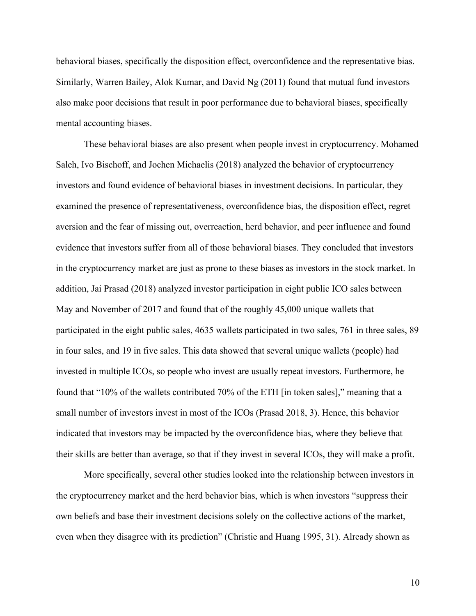behavioral biases, specifically the disposition effect, overconfidence and the representative bias. Similarly, Warren Bailey, Alok Kumar, and David Ng  $(2011)$  found that mutual fund investors also make poor decisions that result in poor performance due to behavioral biases, specifically mental accounting biases.

These behavioral biases are also present when people invest in cryptocurrency. Mohamed Saleh, Ivo Bischoff, and Jochen Michaelis (2018) analyzed the behavior of cryptocurrency investors and found evidence of behavioral biases in investment decisions. In particular, they examined the presence of representativeness, overconfidence bias, the disposition effect, regret aversion and the fear of missing out, overreaction, herd behavior, and peer influence and found evidence that investors suffer from all of those behavioral biases. They concluded that investors in the cryptocurrency market are just as prone to these biases as investors in the stock market. In addition, Jai Prasad (2018) analyzed investor participation in eight public ICO sales between May and November of 2017 and found that of the roughly 45,000 unique wallets that participated in the eight public sales, 4635 wallets participated in two sales, 761 in three sales, 89 in four sales, and 19 in five sales. This data showed that several unique wallets (people) had invested in multiple ICOs, so people who invest are usually repeat investors. Furthermore, he found that "10% of the wallets contributed 70% of the ETH [in token sales]," meaning that a small number of investors invest in most of the ICOs (Prasad 2018, 3). Hence, this behavior indicated that investors may be impacted by the overconfidence bias, where they believe that their skills are better than average, so that if they invest in several ICOs, they will make a profit.

More specifically, several other studies looked into the relationship between investors in the cryptocurrency market and the herd behavior bias, which is when investors "suppress their own beliefs and base their investment decisions solely on the collective actions of the market, even when they disagree with its prediction" (Christie and Huang 1995, 31). Already shown as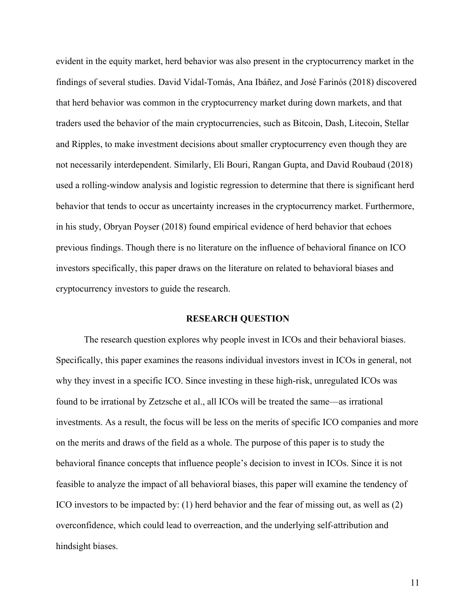evident in the equity market, herd behavior was also present in the cryptocurrency market in the findings of several studies. David Vidal-Tomás, Ana Ibáñez, and José Farinós (2018) discovered that herd behavior was common in the cryptocurrency market during down markets, and that traders used the behavior of the main cryptocurrencies, such as Bitcoin, Dash, Litecoin, Stellar and Ripples, to make investment decisions about smaller cryptocurrency even though they are not necessarily interdependent. Similarly, Eli Bouri, Rangan Gupta, and David Roubaud (2018) used a rolling-window analysis and logistic regression to determine that there is significant herd behavior that tends to occur as uncertainty increases in the cryptocurrency market. Furthermore, in his study, Obryan Poyser (2018) found empirical evidence of herd behavior that echoes previous findings. Though there is no literature on the influence of behavioral finance on ICO investors specifically, this paper draws on the literature on related to behavioral biases and cryptocurrency investors to guide the research.

#### **RESEARCH QUESTION**

The research question explores why people invest in ICOs and their behavioral biases. Specifically, this paper examines the reasons individual investors invest in ICOs in general, not why they invest in a specific ICO. Since investing in these high-risk, unregulated ICOs was found to be irrational by Zetzsche et al., all ICOs will be treated the same—as irrational investments. As a result, the focus will be less on the merits of specific ICO companies and more on the merits and draws of the field as a whole. The purpose of this paper is to study the behavioral finance concepts that influence people's decision to invest in ICOs. Since it is not feasible to analyze the impact of all behavioral biases, this paper will examine the tendency of ICO investors to be impacted by: (1) herd behavior and the fear of missing out, as well as (2) overconfidence, which could lead to overreaction, and the underlying self-attribution and hindsight biases.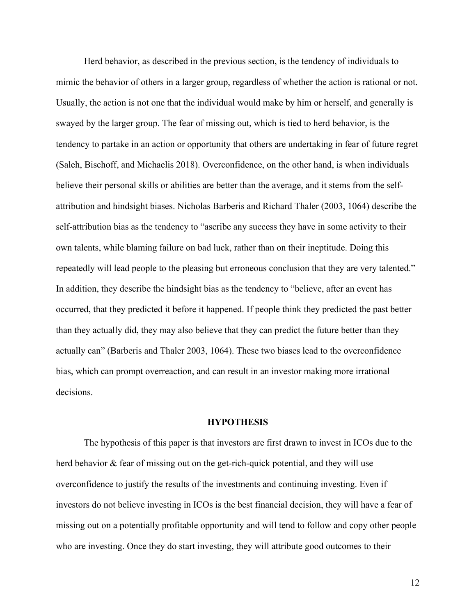Herd behavior, as described in the previous section, is the tendency of individuals to mimic the behavior of others in a larger group, regardless of whether the action is rational or not. Usually, the action is not one that the individual would make by him or herself, and generally is swayed by the larger group. The fear of missing out, which is tied to herd behavior, is the tendency to partake in an action or opportunity that others are undertaking in fear of future regret (Saleh, Bischoff, and Michaelis 2018). Overconfidence, on the other hand, is when individuals believe their personal skills or abilities are better than the average, and it stems from the selfattribution and hindsight biases. Nicholas Barberis and Richard Thaler (2003, 1064) describe the self-attribution bias as the tendency to "ascribe any success they have in some activity to their own talents, while blaming failure on bad luck, rather than on their ineptitude. Doing this repeatedly will lead people to the pleasing but erroneous conclusion that they are very talented." In addition, they describe the hindsight bias as the tendency to "believe, after an event has occurred, that they predicted it before it happened. If people think they predicted the past better than they actually did, they may also believe that they can predict the future better than they actually can" (Barberis and Thaler 2003, 1064). These two biases lead to the overconfidence bias, which can prompt overreaction, and can result in an investor making more irrational decisions.

#### **HYPOTHESIS**

The hypothesis of this paper is that investors are first drawn to invest in ICOs due to the herd behavior & fear of missing out on the get-rich-quick potential, and they will use overconfidence to justify the results of the investments and continuing investing. Even if investors do not believe investing in ICOs is the best financial decision, they will have a fear of missing out on a potentially profitable opportunity and will tend to follow and copy other people who are investing. Once they do start investing, they will attribute good outcomes to their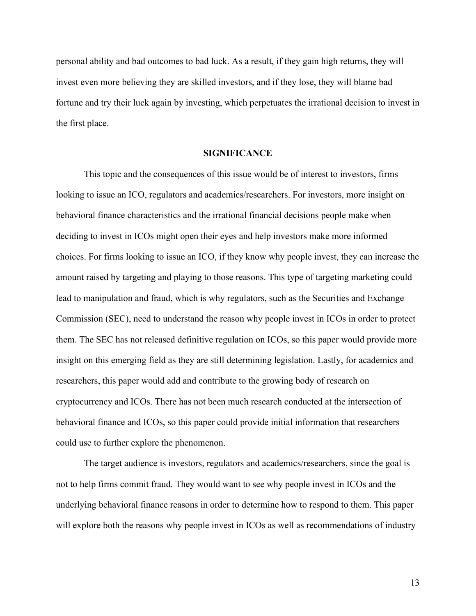personal ability and bad outcomes to bad luck. As a result, if they gain high returns, they will invest even more believing they are skilled investors, and if they lose, they will blame bad fortune and try their luck again by investing, which perpetuates the irrational decision to invest in the first place.

#### **SIGNIFICANCE**

This topic and the consequences of this issue would be of interest to investors, firms looking to issue an ICO, regulators and academics/researchers. For investors, more insight on behavioral finance characteristics and the irrational financial decisions people make when deciding to invest in ICOs might open their eyes and help investors make more informed choices. For firms looking to issue an ICO, if they know why people invest, they can increase the amount raised by targeting and playing to those reasons. This type of targeting marketing could lead to manipulation and fraud, which is why regulators, such as the Securities and Exchange Commission (SEC), need to understand the reason why people invest in ICOs in order to protect them. The SEC has not released definitive regulation on ICOs, so this paper would provide more insight on this emerging field as they are still determining legislation. Lastly, for academics and researchers, this paper would add and contribute to the growing body of research on cryptocurrency and ICOs. There has not been much research conducted at the intersection of behavioral finance and ICOs, so this paper could provide initial information that researchers could use to further explore the phenomenon.

The target audience is investors, regulators and academics/researchers, since the goal is not to help firms commit fraud. They would want to see why people invest in ICOs and the underlying behavioral finance reasons in order to determine how to respond to them. This paper will explore both the reasons why people invest in ICOs as well as recommendations of industry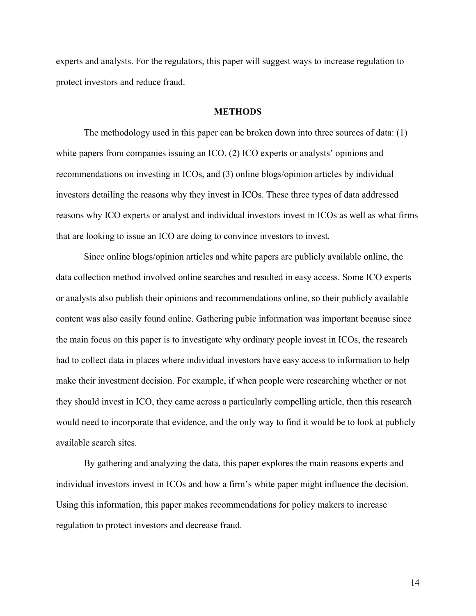experts and analysts. For the regulators, this paper will suggest ways to increase regulation to protect investors and reduce fraud.

## **METHODS**

The methodology used in this paper can be broken down into three sources of data: (1) white papers from companies issuing an ICO, (2) ICO experts or analysts' opinions and recommendations on investing in ICOs, and (3) online blogs/opinion articles by individual investors detailing the reasons why they invest in ICOs. These three types of data addressed reasons why ICO experts or analyst and individual investors invest in ICOs as well as what firms that are looking to issue an ICO are doing to convince investors to invest.

Since online blogs/opinion articles and white papers are publicly available online, the data collection method involved online searches and resulted in easy access. Some ICO experts or analysts also publish their opinions and recommendations online, so their publicly available content was also easily found online. Gathering pubic information was important because since the main focus on this paper is to investigate why ordinary people invest in ICOs, the research had to collect data in places where individual investors have easy access to information to help make their investment decision. For example, if when people were researching whether or not they should invest in ICO, they came across a particularly compelling article, then this research would need to incorporate that evidence, and the only way to find it would be to look at publicly available search sites.

By gathering and analyzing the data, this paper explores the main reasons experts and individual investors invest in ICOs and how a firm's white paper might influence the decision. Using this information, this paper makes recommendations for policy makers to increase regulation to protect investors and decrease fraud.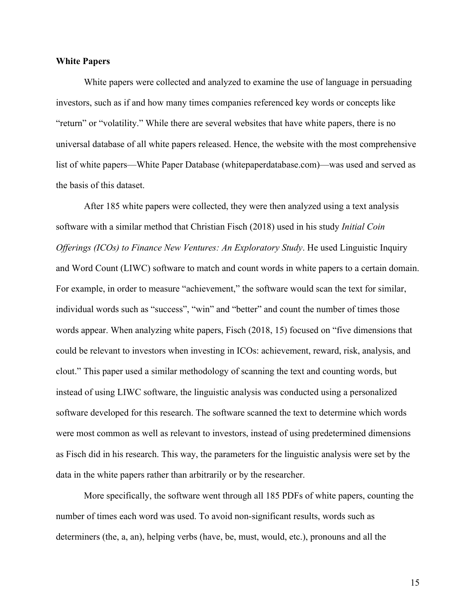## **White Papers**

White papers were collected and analyzed to examine the use of language in persuading investors, such as if and how many times companies referenced key words or concepts like "return" or "volatility." While there are several websites that have white papers, there is no universal database of all white papers released. Hence, the website with the most comprehensive list of white papers—White Paper Database (whitepaperdatabase.com)—was used and served as the basis of this dataset.

After 185 white papers were collected, they were then analyzed using a text analysis software with a similar method that Christian Fisch (2018) used in his study *Initial Coin Offerings (ICOs) to Finance New Ventures: An Exploratory Study*. He used Linguistic Inquiry and Word Count (LIWC) software to match and count words in white papers to a certain domain. For example, in order to measure "achievement," the software would scan the text for similar, individual words such as "success", "win" and "better" and count the number of times those words appear. When analyzing white papers, Fisch (2018, 15) focused on "five dimensions that could be relevant to investors when investing in ICOs: achievement, reward, risk, analysis, and clout." This paper used a similar methodology of scanning the text and counting words, but instead of using LIWC software, the linguistic analysis was conducted using a personalized software developed for this research. The software scanned the text to determine which words were most common as well as relevant to investors, instead of using predetermined dimensions as Fisch did in his research. This way, the parameters for the linguistic analysis were set by the data in the white papers rather than arbitrarily or by the researcher.

More specifically, the software went through all 185 PDFs of white papers, counting the number of times each word was used. To avoid non-significant results, words such as determiners (the, a, an), helping verbs (have, be, must, would, etc.), pronouns and all the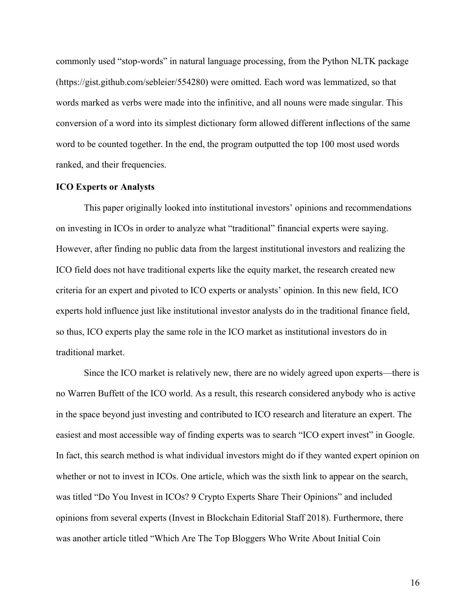commonly used "stop-words" in natural language processing, from the Python NLTK package (https://gist.github.com/sebleier/554280) were omitted. Each word was lemmatized, so that words marked as verbs were made into the infinitive, and all nouns were made singular. This conversion of a word into its simplest dictionary form allowed different inflections of the same word to be counted together. In the end, the program outputted the top 100 most used words ranked, and their frequencies.

#### **ICO Experts or Analysts**

This paper originally looked into institutional investors' opinions and recommendations on investing in ICOs in order to analyze what "traditional" financial experts were saying. However, after finding no public data from the largest institutional investors and realizing the ICO field does not have traditional experts like the equity market, the research created new criteria for an expert and pivoted to ICO experts or analysts' opinion. In this new field, ICO experts hold influence just like institutional investor analysts do in the traditional finance field, so thus, ICO experts play the same role in the ICO market as institutional investors do in traditional market.

Since the ICO market is relatively new, there are no widely agreed upon experts—there is no Warren Buffett of the ICO world. As a result, this research considered anybody who is active in the space beyond just investing and contributed to ICO research and literature an expert. The easiest and most accessible way of finding experts was to search "ICO expert invest" in Google. In fact, this search method is what individual investors might do if they wanted expert opinion on whether or not to invest in ICOs. One article, which was the sixth link to appear on the search, was titled "Do You Invest in ICOs? 9 Crypto Experts Share Their Opinions" and included opinions from several experts (Invest in Blockchain Editorial Staff 2018). Furthermore, there was another article titled "Which Are The Top Bloggers Who Write About Initial Coin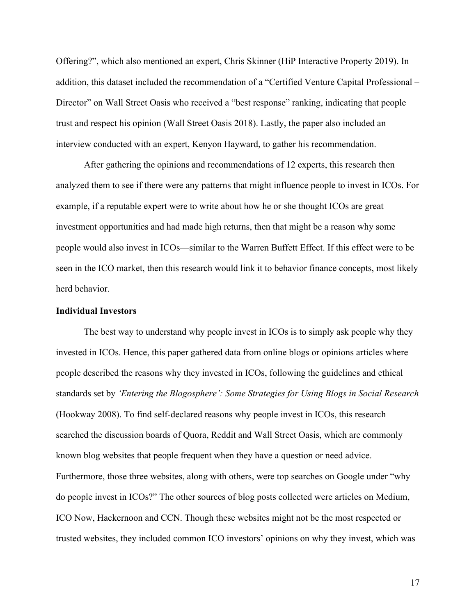Offering?", which also mentioned an expert, Chris Skinner (HiP Interactive Property 2019). In addition, this dataset included the recommendation of a "Certified Venture Capital Professional – Director" on Wall Street Oasis who received a "best response" ranking, indicating that people trust and respect his opinion (Wall Street Oasis 2018). Lastly, the paper also included an interview conducted with an expert, Kenyon Hayward, to gather his recommendation.

After gathering the opinions and recommendations of 12 experts, this research then analyzed them to see if there were any patterns that might influence people to invest in ICOs. For example, if a reputable expert were to write about how he or she thought ICOs are great investment opportunities and had made high returns, then that might be a reason why some people would also invest in ICOs—similar to the Warren Buffett Effect. If this effect were to be seen in the ICO market, then this research would link it to behavior finance concepts, most likely herd behavior.

## **Individual Investors**

The best way to understand why people invest in ICOs is to simply ask people why they invested in ICOs. Hence, this paper gathered data from online blogs or opinions articles where people described the reasons why they invested in ICOs, following the guidelines and ethical standards set by *'Entering the Blogosphere': Some Strategies for Using Blogs in Social Research*  (Hookway 2008). To find self-declared reasons why people invest in ICOs, this research searched the discussion boards of Quora, Reddit and Wall Street Oasis, which are commonly known blog websites that people frequent when they have a question or need advice. Furthermore, those three websites, along with others, were top searches on Google under "why do people invest in ICOs?" The other sources of blog posts collected were articles on Medium, ICO Now, Hackernoon and CCN. Though these websites might not be the most respected or trusted websites, they included common ICO investors' opinions on why they invest, which was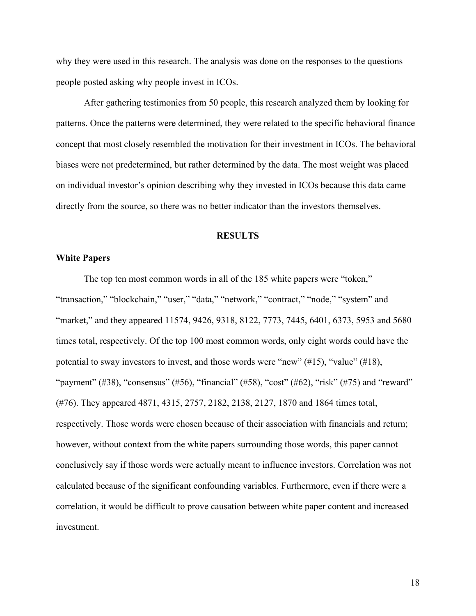why they were used in this research. The analysis was done on the responses to the questions people posted asking why people invest in ICOs.

After gathering testimonies from 50 people, this research analyzed them by looking for patterns. Once the patterns were determined, they were related to the specific behavioral finance concept that most closely resembled the motivation for their investment in ICOs. The behavioral biases were not predetermined, but rather determined by the data. The most weight was placed on individual investor's opinion describing why they invested in ICOs because this data came directly from the source, so there was no better indicator than the investors themselves.

#### **RESULTS**

#### **White Papers**

The top ten most common words in all of the 185 white papers were "token," "transaction," "blockchain," "user," "data," "network," "contract," "node," "system" and "market," and they appeared 11574, 9426, 9318, 8122, 7773, 7445, 6401, 6373, 5953 and 5680 times total, respectively. Of the top 100 most common words, only eight words could have the potential to sway investors to invest, and those words were "new" (#15), "value" (#18), "payment" (#38), "consensus" (#56), "financial" (#58), "cost" (#62), "risk" (#75) and "reward" (#76). They appeared 4871, 4315, 2757, 2182, 2138, 2127, 1870 and 1864 times total, respectively. Those words were chosen because of their association with financials and return; however, without context from the white papers surrounding those words, this paper cannot conclusively say if those words were actually meant to influence investors. Correlation was not calculated because of the significant confounding variables. Furthermore, even if there were a correlation, it would be difficult to prove causation between white paper content and increased investment.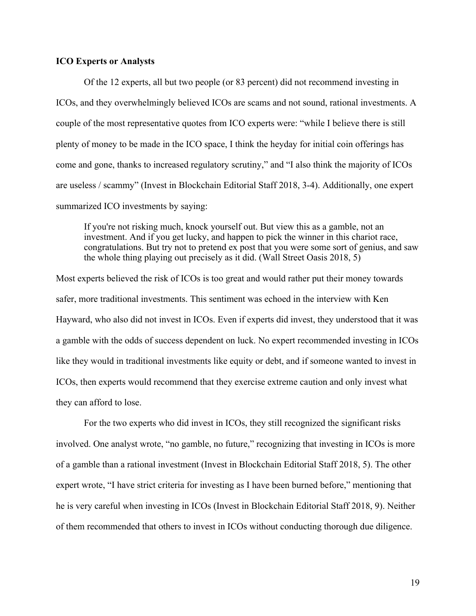### **ICO Experts or Analysts**

Of the 12 experts, all but two people (or 83 percent) did not recommend investing in ICOs, and they overwhelmingly believed ICOs are scams and not sound, rational investments. A couple of the most representative quotes from ICO experts were: "while I believe there is still plenty of money to be made in the ICO space, I think the heyday for initial coin offerings has come and gone, thanks to increased regulatory scrutiny," and "I also think the majority of ICOs are useless / scammy" (Invest in Blockchain Editorial Staff 2018, 3-4). Additionally, one expert summarized ICO investments by saying:

If you're not risking much, knock yourself out. But view this as a gamble, not an investment. And if you get lucky, and happen to pick the winner in this chariot race, congratulations. But try not to pretend ex post that you were some sort of genius, and saw the whole thing playing out precisely as it did. (Wall Street Oasis 2018, 5)

Most experts believed the risk of ICOs is too great and would rather put their money towards safer, more traditional investments. This sentiment was echoed in the interview with Ken Hayward, who also did not invest in ICOs. Even if experts did invest, they understood that it was a gamble with the odds of success dependent on luck. No expert recommended investing in ICOs like they would in traditional investments like equity or debt, and if someone wanted to invest in ICOs, then experts would recommend that they exercise extreme caution and only invest what they can afford to lose.

For the two experts who did invest in ICOs, they still recognized the significant risks involved. One analyst wrote, "no gamble, no future," recognizing that investing in ICOs is more of a gamble than a rational investment (Invest in Blockchain Editorial Staff 2018, 5). The other expert wrote, "I have strict criteria for investing as I have been burned before," mentioning that he is very careful when investing in ICOs (Invest in Blockchain Editorial Staff 2018, 9). Neither of them recommended that others to invest in ICOs without conducting thorough due diligence.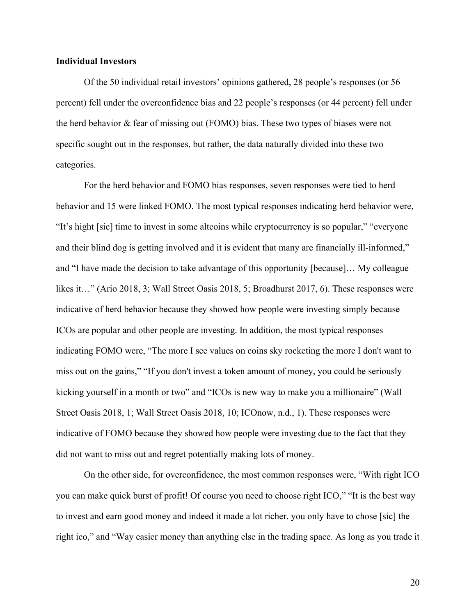#### **Individual Investors**

Of the 50 individual retail investors' opinions gathered, 28 people's responses (or 56 percent) fell under the overconfidence bias and 22 people's responses (or 44 percent) fell under the herd behavior & fear of missing out (FOMO) bias. These two types of biases were not specific sought out in the responses, but rather, the data naturally divided into these two categories.

For the herd behavior and FOMO bias responses, seven responses were tied to herd behavior and 15 were linked FOMO. The most typical responses indicating herd behavior were, "It's hight [sic] time to invest in some altcoins while cryptocurrency is so popular," "everyone and their blind dog is getting involved and it is evident that many are financially ill-informed," and "I have made the decision to take advantage of this opportunity [because]… My colleague likes it…" (Ario 2018, 3; Wall Street Oasis 2018, 5; Broadhurst 2017, 6). These responses were indicative of herd behavior because they showed how people were investing simply because ICOs are popular and other people are investing. In addition, the most typical responses indicating FOMO were, "The more I see values on coins sky rocketing the more I don't want to miss out on the gains," "If you don't invest a token amount of money, you could be seriously kicking yourself in a month or two" and "ICOs is new way to make you a millionaire" (Wall Street Oasis 2018, 1; Wall Street Oasis 2018, 10; ICOnow, n.d., 1). These responses were indicative of FOMO because they showed how people were investing due to the fact that they did not want to miss out and regret potentially making lots of money.

On the other side, for overconfidence, the most common responses were, "With right ICO you can make quick burst of profit! Of course you need to choose right ICO," "It is the best way to invest and earn good money and indeed it made a lot richer. you only have to chose [sic] the right ico," and "Way easier money than anything else in the trading space. As long as you trade it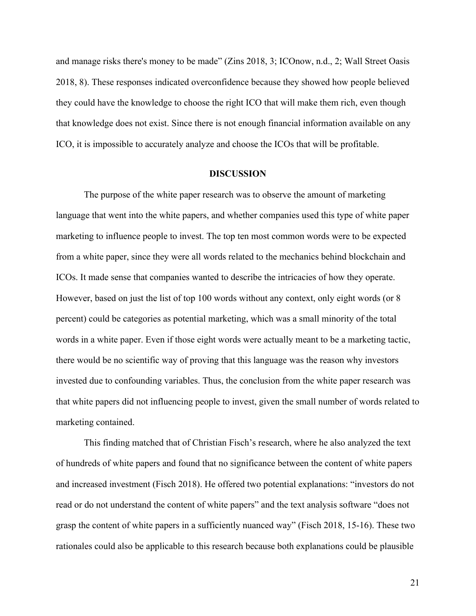and manage risks there's money to be made" (Zins 2018, 3; ICOnow, n.d., 2; Wall Street Oasis 2018, 8). These responses indicated overconfidence because they showed how people believed they could have the knowledge to choose the right ICO that will make them rich, even though that knowledge does not exist. Since there is not enough financial information available on any ICO, it is impossible to accurately analyze and choose the ICOs that will be profitable.

#### **DISCUSSION**

The purpose of the white paper research was to observe the amount of marketing language that went into the white papers, and whether companies used this type of white paper marketing to influence people to invest. The top ten most common words were to be expected from a white paper, since they were all words related to the mechanics behind blockchain and ICOs. It made sense that companies wanted to describe the intricacies of how they operate. However, based on just the list of top 100 words without any context, only eight words (or 8 percent) could be categories as potential marketing, which was a small minority of the total words in a white paper. Even if those eight words were actually meant to be a marketing tactic, there would be no scientific way of proving that this language was the reason why investors invested due to confounding variables. Thus, the conclusion from the white paper research was that white papers did not influencing people to invest, given the small number of words related to marketing contained.

This finding matched that of Christian Fisch's research, where he also analyzed the text of hundreds of white papers and found that no significance between the content of white papers and increased investment (Fisch 2018). He offered two potential explanations: "investors do not read or do not understand the content of white papers" and the text analysis software "does not grasp the content of white papers in a sufficiently nuanced way" (Fisch 2018, 15-16). These two rationales could also be applicable to this research because both explanations could be plausible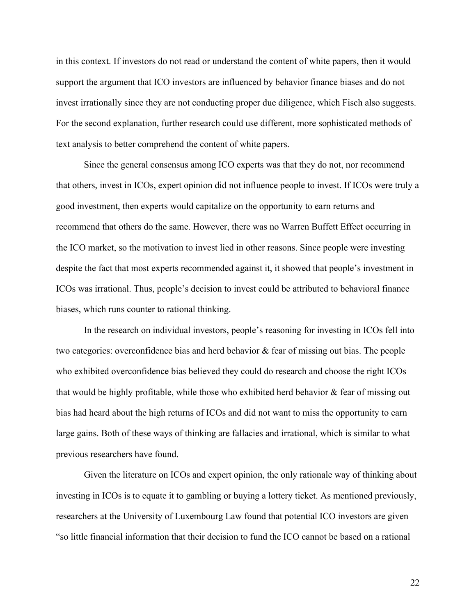in this context. If investors do not read or understand the content of white papers, then it would support the argument that ICO investors are influenced by behavior finance biases and do not invest irrationally since they are not conducting proper due diligence, which Fisch also suggests. For the second explanation, further research could use different, more sophisticated methods of text analysis to better comprehend the content of white papers.

Since the general consensus among ICO experts was that they do not, nor recommend that others, invest in ICOs, expert opinion did not influence people to invest. If ICOs were truly a good investment, then experts would capitalize on the opportunity to earn returns and recommend that others do the same. However, there was no Warren Buffett Effect occurring in the ICO market, so the motivation to invest lied in other reasons. Since people were investing despite the fact that most experts recommended against it, it showed that people's investment in ICOs was irrational. Thus, people's decision to invest could be attributed to behavioral finance biases, which runs counter to rational thinking.

In the research on individual investors, people's reasoning for investing in ICOs fell into two categories: overconfidence bias and herd behavior & fear of missing out bias. The people who exhibited overconfidence bias believed they could do research and choose the right ICOs that would be highly profitable, while those who exhibited herd behavior & fear of missing out bias had heard about the high returns of ICOs and did not want to miss the opportunity to earn large gains. Both of these ways of thinking are fallacies and irrational, which is similar to what previous researchers have found.

Given the literature on ICOs and expert opinion, the only rationale way of thinking about investing in ICOs is to equate it to gambling or buying a lottery ticket. As mentioned previously, researchers at the University of Luxembourg Law found that potential ICO investors are given "so little financial information that their decision to fund the ICO cannot be based on a rational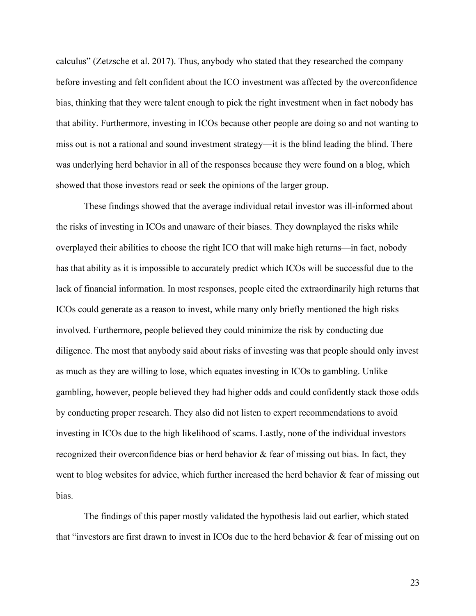calculus" (Zetzsche et al. 2017). Thus, anybody who stated that they researched the company before investing and felt confident about the ICO investment was affected by the overconfidence bias, thinking that they were talent enough to pick the right investment when in fact nobody has that ability. Furthermore, investing in ICOs because other people are doing so and not wanting to miss out is not a rational and sound investment strategy—it is the blind leading the blind. There was underlying herd behavior in all of the responses because they were found on a blog, which showed that those investors read or seek the opinions of the larger group.

These findings showed that the average individual retail investor was ill-informed about the risks of investing in ICOs and unaware of their biases. They downplayed the risks while overplayed their abilities to choose the right ICO that will make high returns—in fact, nobody has that ability as it is impossible to accurately predict which ICOs will be successful due to the lack of financial information. In most responses, people cited the extraordinarily high returns that ICOs could generate as a reason to invest, while many only briefly mentioned the high risks involved. Furthermore, people believed they could minimize the risk by conducting due diligence. The most that anybody said about risks of investing was that people should only invest as much as they are willing to lose, which equates investing in ICOs to gambling. Unlike gambling, however, people believed they had higher odds and could confidently stack those odds by conducting proper research. They also did not listen to expert recommendations to avoid investing in ICOs due to the high likelihood of scams. Lastly, none of the individual investors recognized their overconfidence bias or herd behavior & fear of missing out bias. In fact, they went to blog websites for advice, which further increased the herd behavior & fear of missing out bias.

The findings of this paper mostly validated the hypothesis laid out earlier, which stated that "investors are first drawn to invest in ICOs due to the herd behavior & fear of missing out on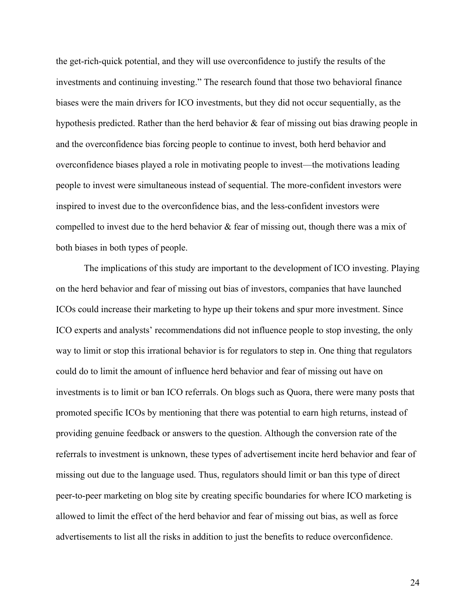the get-rich-quick potential, and they will use overconfidence to justify the results of the investments and continuing investing." The research found that those two behavioral finance biases were the main drivers for ICO investments, but they did not occur sequentially, as the hypothesis predicted. Rather than the herd behavior & fear of missing out bias drawing people in and the overconfidence bias forcing people to continue to invest, both herd behavior and overconfidence biases played a role in motivating people to invest—the motivations leading people to invest were simultaneous instead of sequential. The more-confident investors were inspired to invest due to the overconfidence bias, and the less-confident investors were compelled to invest due to the herd behavior & fear of missing out, though there was a mix of both biases in both types of people.

The implications of this study are important to the development of ICO investing. Playing on the herd behavior and fear of missing out bias of investors, companies that have launched ICOs could increase their marketing to hype up their tokens and spur more investment. Since ICO experts and analysts' recommendations did not influence people to stop investing, the only way to limit or stop this irrational behavior is for regulators to step in. One thing that regulators could do to limit the amount of influence herd behavior and fear of missing out have on investments is to limit or ban ICO referrals. On blogs such as Quora, there were many posts that promoted specific ICOs by mentioning that there was potential to earn high returns, instead of providing genuine feedback or answers to the question. Although the conversion rate of the referrals to investment is unknown, these types of advertisement incite herd behavior and fear of missing out due to the language used. Thus, regulators should limit or ban this type of direct peer-to-peer marketing on blog site by creating specific boundaries for where ICO marketing is allowed to limit the effect of the herd behavior and fear of missing out bias, as well as force advertisements to list all the risks in addition to just the benefits to reduce overconfidence.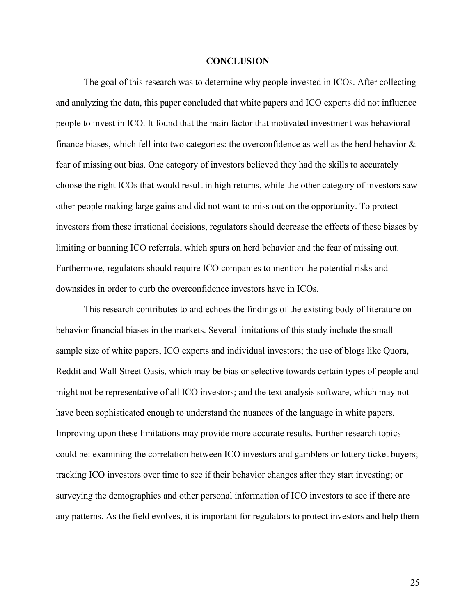#### **CONCLUSION**

The goal of this research was to determine why people invested in ICOs. After collecting and analyzing the data, this paper concluded that white papers and ICO experts did not influence people to invest in ICO. It found that the main factor that motivated investment was behavioral finance biases, which fell into two categories: the overconfidence as well as the herd behavior & fear of missing out bias. One category of investors believed they had the skills to accurately choose the right ICOs that would result in high returns, while the other category of investors saw other people making large gains and did not want to miss out on the opportunity. To protect investors from these irrational decisions, regulators should decrease the effects of these biases by limiting or banning ICO referrals, which spurs on herd behavior and the fear of missing out. Furthermore, regulators should require ICO companies to mention the potential risks and downsides in order to curb the overconfidence investors have in ICOs.

This research contributes to and echoes the findings of the existing body of literature on behavior financial biases in the markets. Several limitations of this study include the small sample size of white papers, ICO experts and individual investors; the use of blogs like Quora, Reddit and Wall Street Oasis, which may be bias or selective towards certain types of people and might not be representative of all ICO investors; and the text analysis software, which may not have been sophisticated enough to understand the nuances of the language in white papers. Improving upon these limitations may provide more accurate results. Further research topics could be: examining the correlation between ICO investors and gamblers or lottery ticket buyers; tracking ICO investors over time to see if their behavior changes after they start investing; or surveying the demographics and other personal information of ICO investors to see if there are any patterns. As the field evolves, it is important for regulators to protect investors and help them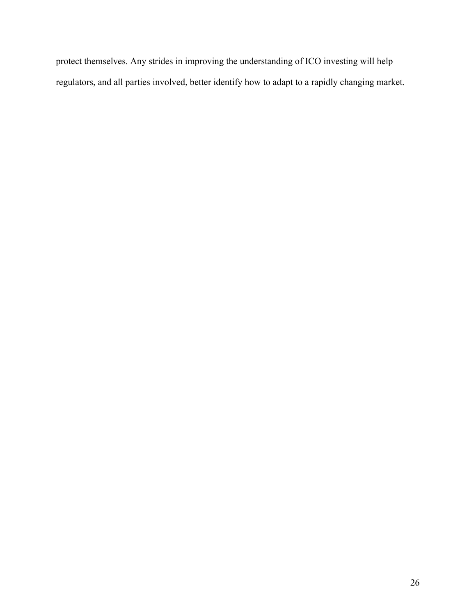protect themselves. Any strides in improving the understanding of ICO investing will help regulators, and all parties involved, better identify how to adapt to a rapidly changing market.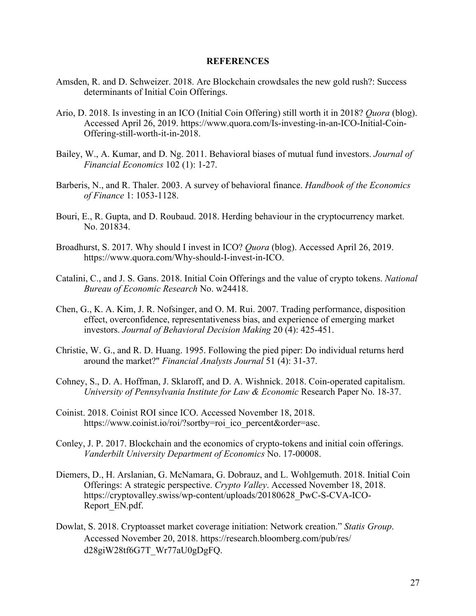## **REFERENCES**

- Amsden, R. and D. Schweizer. 2018. Are Blockchain crowdsales the new gold rush?: Success determinants of Initial Coin Offerings.
- Ario, D. 2018. Is investing in an ICO (Initial Coin Offering) still worth it in 2018? *Quora* (blog). Accessed April 26, 2019. https://www.quora.com/Is-investing-in-an-ICO-Initial-Coin-Offering-still-worth-it-in-2018.
- Bailey, W., A. Kumar, and D. Ng. 2011. Behavioral biases of mutual fund investors. *Journal of Financial Economics* 102 (1): 1-27.
- Barberis, N., and R. Thaler. 2003. A survey of behavioral finance. *Handbook of the Economics of Finance* 1: 1053-1128.
- Bouri, E., R. Gupta, and D. Roubaud. 2018. Herding behaviour in the cryptocurrency market. No. 201834.
- Broadhurst, S. 2017. Why should I invest in ICO? *Quora* (blog). Accessed April 26, 2019. https://www.quora.com/Why-should-I-invest-in-ICO.
- Catalini, C., and J. S. Gans. 2018. Initial Coin Offerings and the value of crypto tokens. *National Bureau of Economic Research* No. w24418.
- Chen, G., K. A. Kim, J. R. Nofsinger, and O. M. Rui. 2007. Trading performance, disposition effect, overconfidence, representativeness bias, and experience of emerging market investors. *Journal of Behavioral Decision Making* 20 (4): 425-451.
- Christie, W. G., and R. D. Huang. 1995. Following the pied piper: Do individual returns herd around the market?" *Financial Analysts Journal* 51 (4): 31-37.
- Cohney, S., D. A. Hoffman, J. Sklaroff, and D. A. Wishnick. 2018. Coin-operated capitalism. *University of Pennsylvania Institute for Law & Economic* Research Paper No. 18-37.
- Coinist. 2018. Coinist ROI since ICO. Accessed November 18, 2018. https://www.coinist.io/roi/?sortby=roi\_ico\_percent&order=asc.
- Conley, J. P. 2017. Blockchain and the economics of crypto-tokens and initial coin offerings. *Vanderbilt University Department of Economics* No. 17-00008.
- Diemers, D., H. Arslanian, G. McNamara, G. Dobrauz, and L. Wohlgemuth. 2018. Initial Coin Offerings: A strategic perspective. *Crypto Valley*. Accessed November 18, 2018. https://cryptovalley.swiss/wp-content/uploads/20180628\_PwC-S-CVA-ICO-Report\_EN.pdf.
- Dowlat, S. 2018. Cryptoasset market coverage initiation: Network creation." *Statis Group*. Accessed November 20, 2018. https://research.bloomberg.com/pub/res/ d28giW28tf6G7T\_Wr77aU0gDgFQ.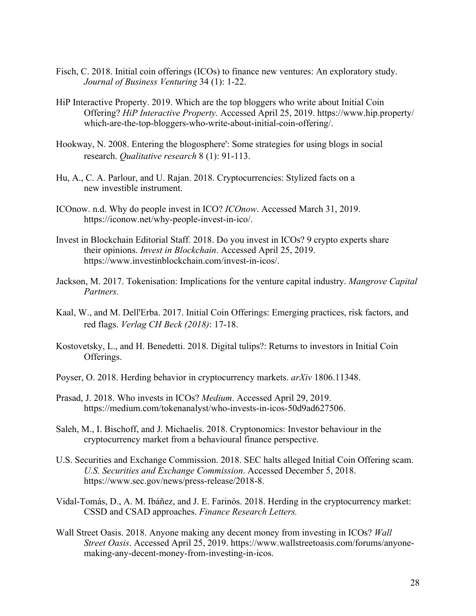- Fisch, C. 2018. Initial coin offerings (ICOs) to finance new ventures: An exploratory study. *Journal of Business Venturing* 34 (1): 1-22.
- HiP Interactive Property. 2019. Which are the top bloggers who write about Initial Coin Offering? *HiP Interactive Property.* Accessed April 25, 2019. https://www.hip.property/ which-are-the-top-bloggers-who-write-about-initial-coin-offering/.
- Hookway, N. 2008. Entering the blogosphere': Some strategies for using blogs in social research. *Qualitative research* 8 (1): 91-113.
- Hu, A., C. A. Parlour, and U. Rajan. 2018. Cryptocurrencies: Stylized facts on a new investible instrument.
- ICOnow. n.d. Why do people invest in ICO? *ICOnow*. Accessed March 31, 2019. https://iconow.net/why-people-invest-in-ico/.
- Invest in Blockchain Editorial Staff. 2018. Do you invest in ICOs? 9 crypto experts share their opinions. *Invest in Blockchain*. Accessed April 25, 2019. https://www.investinblockchain.com/invest-in-icos/.
- Jackson, M. 2017. Tokenisation: Implications for the venture capital industry. *Mangrove Capital Partners.*
- Kaal, W., and M. Dell'Erba. 2017. Initial Coin Offerings: Emerging practices, risk factors, and red flags. *Verlag CH Beck (2018)*: 17-18.
- Kostovetsky, L., and H. Benedetti. 2018. Digital tulips?: Returns to investors in Initial Coin Offerings.
- Poyser, O. 2018. Herding behavior in cryptocurrency markets. *arXiv* 1806.11348.
- Prasad, J. 2018. Who invests in ICOs? *Medium*. Accessed April 29, 2019. https://medium.com/tokenanalyst/who-invests-in-icos-50d9ad627506.
- Saleh, M., I. Bischoff, and J. Michaelis. 2018. Cryptonomics: Investor behaviour in the cryptocurrency market from a behavioural finance perspective.
- U.S. Securities and Exchange Commission. 2018. SEC halts alleged Initial Coin Offering scam. *U.S. Securities and Exchange Commission*. Accessed December 5, 2018. https://www.sec.gov/news/press-release/2018-8.
- Vidal-Tomás, D., A. M. Ibáñez, and J. E. Farinós. 2018. Herding in the cryptocurrency market: CSSD and CSAD approaches. *Finance Research Letters.*
- Wall Street Oasis. 2018. Anyone making any decent money from investing in ICOs? *Wall Street Oasis*. Accessed April 25, 2019. https://www.wallstreetoasis.com/forums/anyonemaking-any-decent-money-from-investing-in-icos.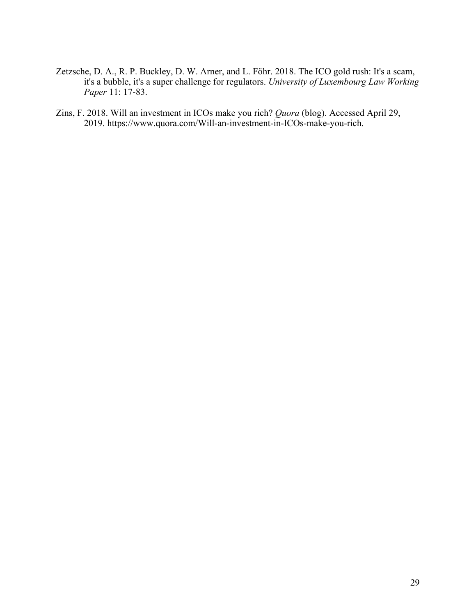- Zetzsche, D. A., R. P. Buckley, D. W. Arner, and L. Föhr. 2018. The ICO gold rush: It's a scam, it's a bubble, it's a super challenge for regulators. *University of Luxembourg Law Working Paper* 11: 17-83.
- Zins, F. 2018. Will an investment in ICOs make you rich? *Quora* (blog). Accessed April 29, 2019. https://www.quora.com/Will-an-investment-in-ICOs-make-you-rich.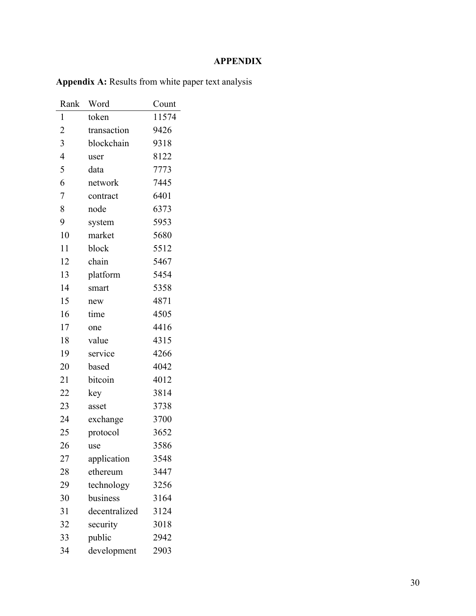# **APPENDIX**

| Rank           | Word          | Count |
|----------------|---------------|-------|
| 1              | token         | 11574 |
| $\overline{2}$ | transaction   | 9426  |
| 3              | blockchain    | 9318  |
| $\overline{4}$ | user          | 8122  |
| 5              | data          | 7773  |
| 6              | network       | 7445  |
| $\overline{7}$ | contract      | 6401  |
| 8              | node          | 6373  |
| 9              | system        | 5953  |
| 10             | market        | 5680  |
| 11             | block         | 5512  |
| 12             | chain         | 5467  |
| 13             | platform      | 5454  |
| 14             | smart         | 5358  |
| 15             | new           | 4871  |
| 16             | time          | 4505  |
| 17             | one           | 4416  |
| 18             | value         | 4315  |
| 19             | service       | 4266  |
| 20             | based         | 4042  |
| 21             | bitcoin       | 4012  |
| 22             | key           | 3814  |
| 23             | asset         | 3738  |
| 24             | exchange      | 3700  |
| 25             | protocol      | 3652  |
| 26             | use           | 3586  |
| 27             | application   | 3548  |
| 28             | ethereum      | 3447  |
| 29             | technology    | 3256  |
| 30             | business      | 3164  |
| 31             | decentralized | 3124  |
| 32             | security      | 3018  |
| 33             | public        | 2942  |
| 34             | development   | 2903  |

**Appendix A:** Results from white paper text analysis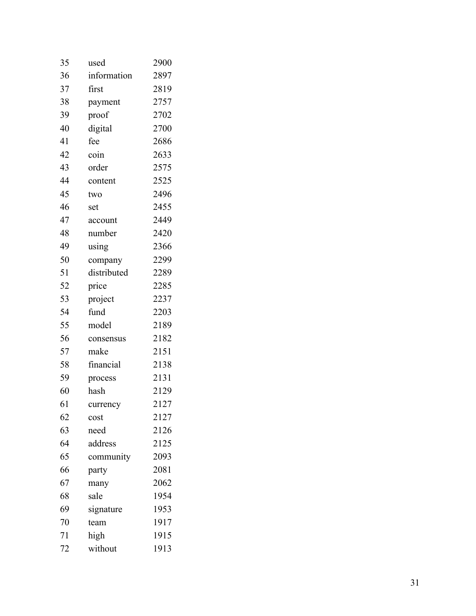| used        | 2900 |
|-------------|------|
| information | 2897 |
| first       | 2819 |
| payment     | 2757 |
| proof       | 2702 |
| digital     | 2700 |
| fee         | 2686 |
| coin        | 2633 |
| order       | 2575 |
| content     | 2525 |
| two         | 2496 |
| set         | 2455 |
| account     | 2449 |
| number      | 2420 |
| using       | 2366 |
| company     | 2299 |
| distributed | 2289 |
| price       | 2285 |
| project     | 2237 |
| fund        | 2203 |
| model       | 2189 |
| consensus   | 2182 |
| make        | 2151 |
| financial   | 2138 |
| process     | 2131 |
| hash        | 2129 |
| currency    | 2127 |
| cost        | 2127 |
| need        | 2126 |
| address     | 2125 |
| community   | 2093 |
| party       | 2081 |
| many        | 2062 |
| sale        | 1954 |
| signature   | 1953 |
| team        | 1917 |
| high        | 1915 |
| without     | 1913 |
|             |      |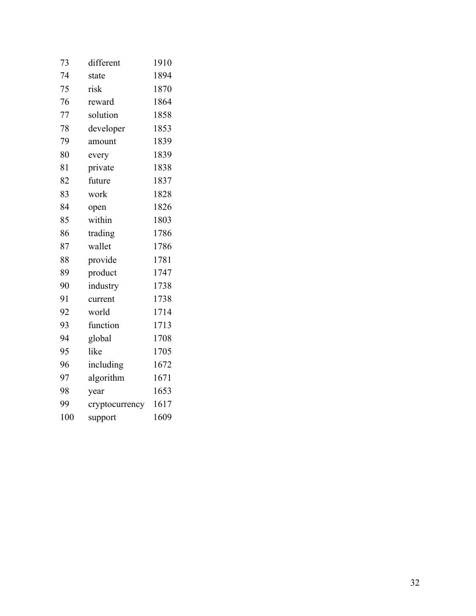| 73  | different      | 1910 |
|-----|----------------|------|
| 74  | state          | 1894 |
| 75  | risk           | 1870 |
| 76  | reward         | 1864 |
| 77  | solution       | 1858 |
| 78  | developer      | 1853 |
| 79  | amount         | 1839 |
| 80  | every          | 1839 |
| 81  | private        | 1838 |
| 82  | future         | 1837 |
| 83  | work           | 1828 |
| 84  | open           | 1826 |
| 85  | within         | 1803 |
| 86  | trading        | 1786 |
| 87  | wallet         | 1786 |
| 88  | provide        | 1781 |
| 89  | product        | 1747 |
| 90  | industry       | 1738 |
| 91  | current        | 1738 |
| 92  | world          | 1714 |
| 93  | function       | 1713 |
| 94  | global         | 1708 |
| 95  | like           | 1705 |
| 96  | including      | 1672 |
| 97  | algorithm      | 1671 |
| 98  | year           | 1653 |
| 99  | cryptocurrency | 1617 |
| 100 | support        | 1609 |
|     |                |      |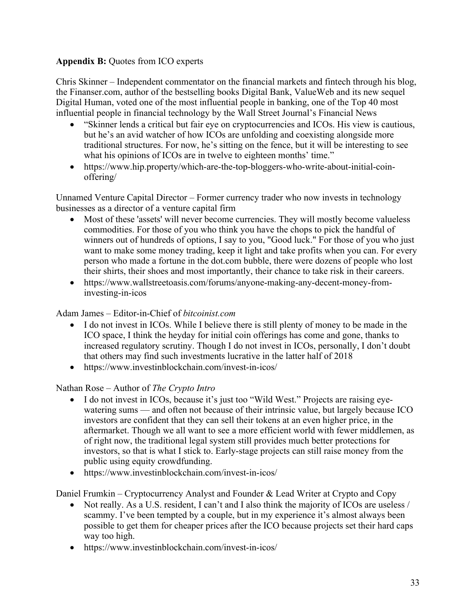# **Appendix B:** Quotes from ICO experts

Chris Skinner – Independent commentator on the financial markets and fintech through his blog, the Finanser.com, author of the bestselling books Digital Bank, ValueWeb and its new sequel Digital Human, voted one of the most influential people in banking, one of the Top 40 most influential people in financial technology by the Wall Street Journal's Financial News

- "Skinner lends a critical but fair eye on cryptocurrencies and ICOs. His view is cautious, but he's an avid watcher of how ICOs are unfolding and coexisting alongside more traditional structures. For now, he's sitting on the fence, but it will be interesting to see what his opinions of ICOs are in twelve to eighteen months' time."
- https://www.hip.property/which-are-the-top-bloggers-who-write-about-initial-coinoffering/

Unnamed Venture Capital Director – Former currency trader who now invests in technology businesses as a director of a venture capital firm

- Most of these 'assets' will never become currencies. They will mostly become valueless commodities. For those of you who think you have the chops to pick the handful of winners out of hundreds of options, I say to you, "Good luck." For those of you who just want to make some money trading, keep it light and take profits when you can. For every person who made a fortune in the dot.com bubble, there were dozens of people who lost their shirts, their shoes and most importantly, their chance to take risk in their careers.
- https://www.wallstreetoasis.com/forums/anyone-making-any-decent-money-frominvesting-in-icos

# Adam James – Editor-in-Chief of *bitcoinist.com*

- I do not invest in ICOs. While I believe there is still plenty of money to be made in the ICO space, I think the heyday for initial coin offerings has come and gone, thanks to increased regulatory scrutiny. Though I do not invest in ICOs, personally, I don't doubt that others may find such investments lucrative in the latter half of 2018
- https://www.investinblockchain.com/invest-in-icos/

# Nathan Rose – Author of *The Crypto Intro*

- I do not invest in ICOs, because it's just too "Wild West." Projects are raising eyewatering sums — and often not because of their intrinsic value, but largely because ICO investors are confident that they can sell their tokens at an even higher price, in the aftermarket. Though we all want to see a more efficient world with fewer middlemen, as of right now, the traditional legal system still provides much better protections for investors, so that is what I stick to. Early-stage projects can still raise money from the public using equity crowdfunding.
- https://www.investinblockchain.com/invest-in-icos/

Daniel Frumkin – Cryptocurrency Analyst and Founder & Lead Writer at Crypto and Copy

- Not really. As a U.S. resident, I can't and I also think the majority of ICOs are useless / scammy. I've been tempted by a couple, but in my experience it's almost always been possible to get them for cheaper prices after the ICO because projects set their hard caps way too high.
- https://www.investinblockchain.com/invest-in-icos/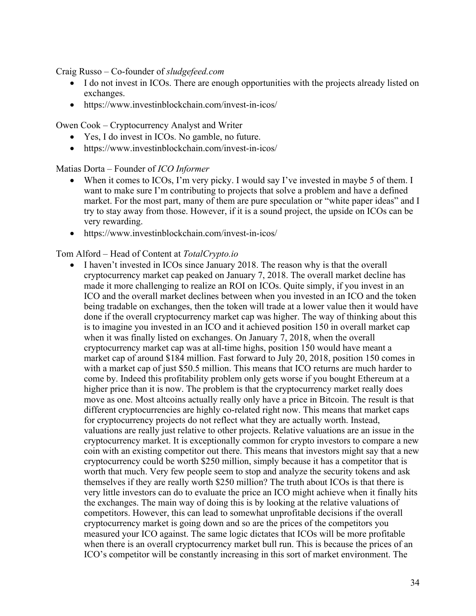Craig Russo – Co-founder of *sludgefeed.com*

- I do not invest in ICOs. There are enough opportunities with the projects already listed on exchanges.
- https://www.investinblockchain.com/invest-in-icos/

Owen Cook – Cryptocurrency Analyst and Writer

- Yes, I do invest in ICOs. No gamble, no future.
- https://www.investinblockchain.com/invest-in-icos/

Matias Dorta – Founder of *ICO Informer*

- When it comes to ICOs, I'm very picky. I would say I've invested in maybe 5 of them. I want to make sure I'm contributing to projects that solve a problem and have a defined market. For the most part, many of them are pure speculation or "white paper ideas" and I try to stay away from those. However, if it is a sound project, the upside on ICOs can be very rewarding.
- https://www.investinblockchain.com/invest-in-icos/

## Tom Alford – Head of Content at *TotalCrypto.io*

• I haven't invested in ICOs since January 2018. The reason why is that the overall cryptocurrency market cap peaked on January 7, 2018. The overall market decline has made it more challenging to realize an ROI on ICOs. Quite simply, if you invest in an ICO and the overall market declines between when you invested in an ICO and the token being tradable on exchanges, then the token will trade at a lower value then it would have done if the overall cryptocurrency market cap was higher. The way of thinking about this is to imagine you invested in an ICO and it achieved position 150 in overall market cap when it was finally listed on exchanges. On January 7, 2018, when the overall cryptocurrency market cap was at all-time highs, position 150 would have meant a market cap of around \$184 million. Fast forward to July 20, 2018, position 150 comes in with a market cap of just \$50.5 million. This means that ICO returns are much harder to come by. Indeed this profitability problem only gets worse if you bought Ethereum at a higher price than it is now. The problem is that the cryptocurrency market really does move as one. Most altcoins actually really only have a price in Bitcoin. The result is that different cryptocurrencies are highly co-related right now. This means that market caps for cryptocurrency projects do not reflect what they are actually worth. Instead, valuations are really just relative to other projects. Relative valuations are an issue in the cryptocurrency market. It is exceptionally common for crypto investors to compare a new coin with an existing competitor out there. This means that investors might say that a new cryptocurrency could be worth \$250 million, simply because it has a competitor that is worth that much. Very few people seem to stop and analyze the security tokens and ask themselves if they are really worth \$250 million? The truth about ICOs is that there is very little investors can do to evaluate the price an ICO might achieve when it finally hits the exchanges. The main way of doing this is by looking at the relative valuations of competitors. However, this can lead to somewhat unprofitable decisions if the overall cryptocurrency market is going down and so are the prices of the competitors you measured your ICO against. The same logic dictates that ICOs will be more profitable when there is an overall cryptocurrency market bull run. This is because the prices of an ICO's competitor will be constantly increasing in this sort of market environment. The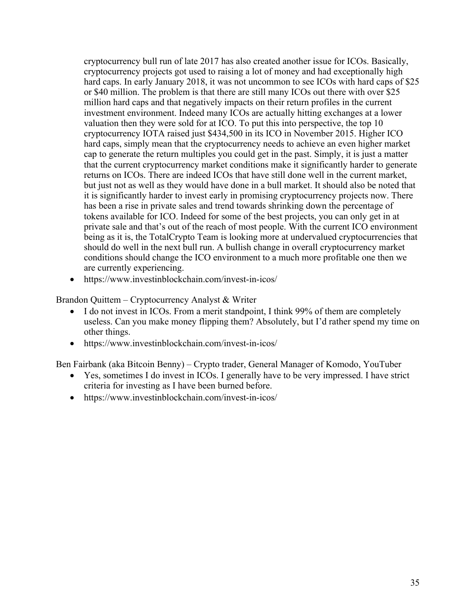cryptocurrency bull run of late 2017 has also created another issue for ICOs. Basically, cryptocurrency projects got used to raising a lot of money and had exceptionally high hard caps. In early January 2018, it was not uncommon to see ICOs with hard caps of \$25 or \$40 million. The problem is that there are still many ICOs out there with over \$25 million hard caps and that negatively impacts on their return profiles in the current investment environment. Indeed many ICOs are actually hitting exchanges at a lower valuation then they were sold for at ICO. To put this into perspective, the top 10 cryptocurrency IOTA raised just \$434,500 in its ICO in November 2015. Higher ICO hard caps, simply mean that the cryptocurrency needs to achieve an even higher market cap to generate the return multiples you could get in the past. Simply, it is just a matter that the current cryptocurrency market conditions make it significantly harder to generate returns on ICOs. There are indeed ICOs that have still done well in the current market, but just not as well as they would have done in a bull market. It should also be noted that it is significantly harder to invest early in promising cryptocurrency projects now. There has been a rise in private sales and trend towards shrinking down the percentage of tokens available for ICO. Indeed for some of the best projects, you can only get in at private sale and that's out of the reach of most people. With the current ICO environment being as it is, the TotalCrypto Team is looking more at undervalued cryptocurrencies that should do well in the next bull run. A bullish change in overall cryptocurrency market conditions should change the ICO environment to a much more profitable one then we are currently experiencing.

• https://www.investinblockchain.com/invest-in-icos/

Brandon Quittem – Cryptocurrency Analyst & Writer

- I do not invest in ICOs. From a merit standpoint, I think 99% of them are completely useless. Can you make money flipping them? Absolutely, but I'd rather spend my time on other things.
- https://www.investinblockchain.com/invest-in-icos/

Ben Fairbank (aka Bitcoin Benny) – Crypto trader, General Manager of Komodo, YouTuber

- Yes, sometimes I do invest in ICOs. I generally have to be very impressed. I have strict criteria for investing as I have been burned before.
- https://www.investinblockchain.com/invest-in-icos/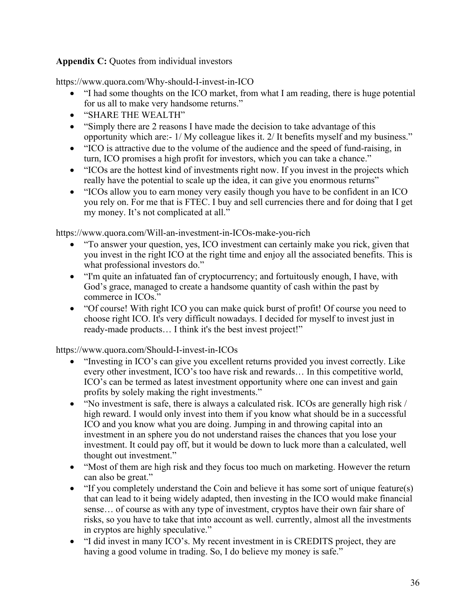# Appendix C: Quotes from individual investors

https://www.quora.com/Why-should-I-invest-in-ICO

- "I had some thoughts on the ICO market, from what I am reading, there is huge potential for us all to make very handsome returns."
- "SHARE THE WEALTH"
- "Simply there are 2 reasons I have made the decision to take advantage of this opportunity which are:- 1/ My colleague likes it. 2/ It benefits myself and my business."
- "ICO is attractive due to the volume of the audience and the speed of fund-raising, in turn, ICO promises a high profit for investors, which you can take a chance."
- "ICOs are the hottest kind of investments right now. If you invest in the projects which really have the potential to scale up the idea, it can give you enormous returns"
- "ICOs allow you to earn money very easily though you have to be confident in an ICO you rely on. For me that is FTEC. I buy and sell currencies there and for doing that I get my money. It's not complicated at all."

https://www.quora.com/Will-an-investment-in-ICOs-make-you-rich

- "To answer your question, yes, ICO investment can certainly make you rick, given that you invest in the right ICO at the right time and enjoy all the associated benefits. This is what professional investors do."
- "I'm quite an infatuated fan of cryptocurrency; and fortuitously enough, I have, with God's grace, managed to create a handsome quantity of cash within the past by commerce in ICOs."
- "Of course! With right ICO you can make quick burst of profit! Of course you need to choose right ICO. It's very difficult nowadays. I decided for myself to invest just in ready-made products… I think it's the best invest project!"

https://www.quora.com/Should-I-invest-in-ICOs

- "Investing in ICO's can give you excellent returns provided you invest correctly. Like every other investment, ICO's too have risk and rewards… In this competitive world, ICO's can be termed as latest investment opportunity where one can invest and gain profits by solely making the right investments."
- "No investment is safe, there is always a calculated risk. ICOs are generally high risk / high reward. I would only invest into them if you know what should be in a successful ICO and you know what you are doing. Jumping in and throwing capital into an investment in an sphere you do not understand raises the chances that you lose your investment. It could pay off, but it would be down to luck more than a calculated, well thought out investment."
- "Most of them are high risk and they focus too much on marketing. However the return can also be great."
- "If you completely understand the Coin and believe it has some sort of unique feature(s) that can lead to it being widely adapted, then investing in the ICO would make financial sense… of course as with any type of investment, cryptos have their own fair share of risks, so you have to take that into account as well. currently, almost all the investments in cryptos are highly speculative."
- "I did invest in many ICO's. My recent investment in is CREDITS project, they are having a good volume in trading. So, I do believe my money is safe."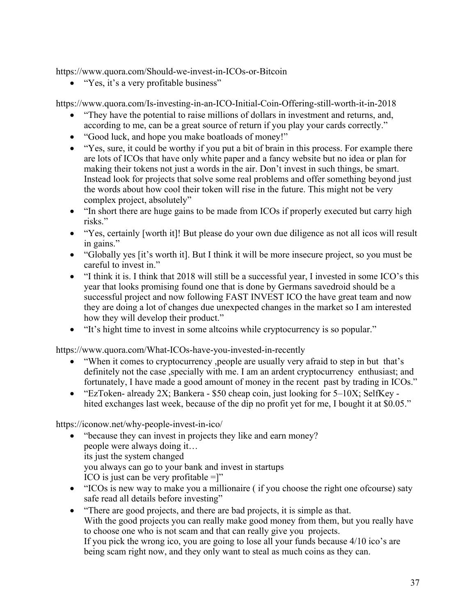https://www.quora.com/Should-we-invest-in-ICOs-or-Bitcoin

• "Yes, it's a very profitable business"

https://www.quora.com/Is-investing-in-an-ICO-Initial-Coin-Offering-still-worth-it-in-2018

- "They have the potential to raise millions of dollars in investment and returns, and, according to me, can be a great source of return if you play your cards correctly."
- "Good luck, and hope you make boatloads of money!"
- "Yes, sure, it could be worthy if you put a bit of brain in this process. For example there are lots of ICOs that have only white paper and a fancy website but no idea or plan for making their tokens not just a words in the air. Don't invest in such things, be smart. Instead look for projects that solve some real problems and offer something beyond just the words about how cool their token will rise in the future. This might not be very complex project, absolutely"
- "In short there are huge gains to be made from ICOs if properly executed but carry high risks."
- "Yes, certainly [worth it]! But please do your own due diligence as not all icos will result in gains."
- "Globally yes [it's worth it]. But I think it will be more insecure project, so you must be careful to invest in."
- "I think it is. I think that 2018 will still be a successful year, I invested in some ICO's this year that looks promising found one that is done by Germans savedroid should be a successful project and now following FAST INVEST ICO the have great team and now they are doing a lot of changes due unexpected changes in the market so I am interested how they will develop their product."
- "It's hight time to invest in some altcoins while cryptocurrency is so popular."

https://www.quora.com/What-ICOs-have-you-invested-in-recently

- "When it comes to cryptocurrency ,people are usually very afraid to step in but that's definitely not the case , specially with me. I am an ardent cryptocurrency enthusiast; and fortunately, I have made a good amount of money in the recent past by trading in ICOs."
- "EzToken- already 2X; Bankera \$50 cheap coin, just looking for 5–10X; SelfKey hited exchanges last week, because of the dip no profit yet for me, I bought it at \$0.05."

https://iconow.net/why-people-invest-in-ico/

- "because they can invest in projects they like and earn money? people were always doing it… its just the system changed you always can go to your bank and invest in startups ICO is just can be very profitable  $=$ ]"
- "ICOs is new way to make you a millionaire (if you choose the right one ofcourse) saty safe read all details before investing"
- "There are good projects, and there are bad projects, it is simple as that. With the good projects you can really make good money from them, but you really have to choose one who is not scam and that can really give you projects. If you pick the wrong ico, you are going to lose all your funds because 4/10 ico's are being scam right now, and they only want to steal as much coins as they can.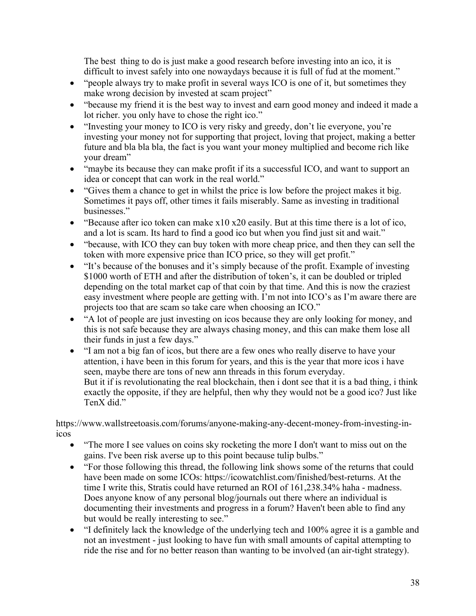The best thing to do is just make a good research before investing into an ico, it is difficult to invest safely into one nowaydays because it is full of fud at the moment."

- "people always try to make profit in several ways ICO is one of it, but sometimes they make wrong decision by invested at scam project"
- "because my friend it is the best way to invest and earn good money and indeed it made a lot richer. you only have to chose the right ico."
- "Investing your money to ICO is very risky and greedy, don't lie everyone, you're investing your money not for supporting that project, loving that project, making a better future and bla bla bla, the fact is you want your money multiplied and become rich like your dream"
- "maybe its because they can make profit if its a successful ICO, and want to support an idea or concept that can work in the real world."
- "Gives them a chance to get in whilst the price is low before the project makes it big. Sometimes it pays off, other times it fails miserably. Same as investing in traditional businesses."
- "Because after ico token can make  $x10 x20$  easily. But at this time there is a lot of ico, and a lot is scam. Its hard to find a good ico but when you find just sit and wait."
- "because, with ICO they can buy token with more cheap price, and then they can sell the token with more expensive price than ICO price, so they will get profit."
- "It's because of the bonuses and it's simply because of the profit. Example of investing \$1000 worth of ETH and after the distribution of token's, it can be doubled or tripled depending on the total market cap of that coin by that time. And this is now the craziest easy investment where people are getting with. I'm not into ICO's as I'm aware there are projects too that are scam so take care when choosing an ICO."
- "A lot of people are just investing on icos because they are only looking for money, and this is not safe because they are always chasing money, and this can make them lose all their funds in just a few days."
- "I am not a big fan of icos, but there are a few ones who really diserve to have your attention, i have been in this forum for years, and this is the year that more icos i have seen, maybe there are tons of new ann threads in this forum everyday. But it if is revolutionating the real blockchain, then i dont see that it is a bad thing, i think exactly the opposite, if they are helpful, then why they would not be a good ico? Just like TenX did."

https://www.wallstreetoasis.com/forums/anyone-making-any-decent-money-from-investing-inicos

- "The more I see values on coins sky rocketing the more I don't want to miss out on the gains. I've been risk averse up to this point because tulip bulbs."
- "For those following this thread, the following link shows some of the returns that could have been made on some ICOs: https://icowatchlist.com/finished/best-returns. At the time I write this, Stratis could have returned an ROI of 161,238.34% haha - madness. Does anyone know of any personal blog/journals out there where an individual is documenting their investments and progress in a forum? Haven't been able to find any but would be really interesting to see."
- "I definitely lack the knowledge of the underlying tech and 100% agree it is a gamble and not an investment - just looking to have fun with small amounts of capital attempting to ride the rise and for no better reason than wanting to be involved (an air-tight strategy).